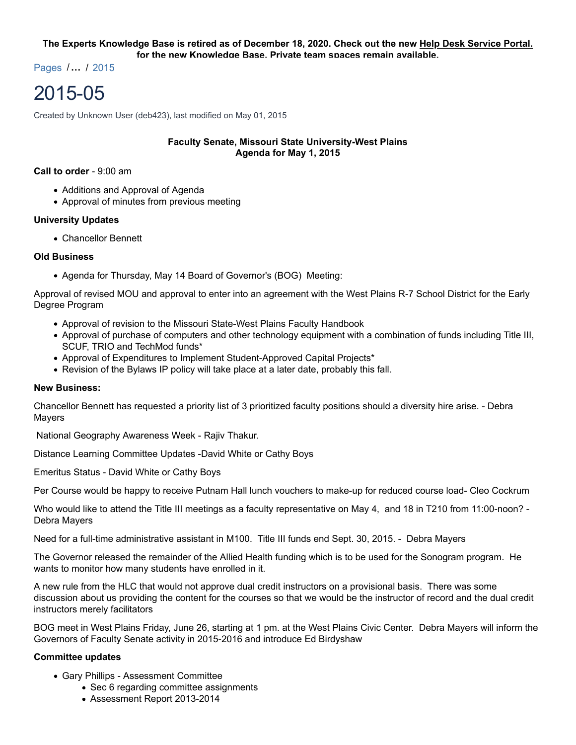# **The Experts Knowledge Base is retired as of December 18, 2020. Check out the new Help Desk Service Portal. for the new Knowledge Base. Private team spaces remain available.**

Pages /**…** / 2015

# 2015-05

Created by Unknown User (deb423), last modified on May 01, 2015

# **Faculty Senate, Missouri State University-West Plains Agenda for May 1, 2015**

#### **Call to order** - 9:00 am

- Additions and Approval of Agenda
- Approval of minutes from previous meeting

# **University Updates**

Chancellor Bennett

# **Old Business**

• Agenda for Thursday, May 14 Board of Governor's (BOG) Meeting:

Approval of revised MOU and approval to enter into an agreement with the West Plains R-7 School District for the Early Degree Program

- Approval of revision to the Missouri State-West Plains Faculty Handbook
- Approval of purchase of computers and other technology equipment with a combination of funds including Title III, SCUF, TRIO and TechMod funds\*
- Approval of Expenditures to Implement Student-Approved Capital Projects\*
- Revision of the Bylaws IP policy will take place at a later date, probably this fall.

## **New Business:**

Chancellor Bennett has requested a priority list of 3 prioritized faculty positions should a diversity hire arise. - Debra Mayers

National Geography Awareness Week - Rajiv Thakur.

Distance Learning Committee Updates -David White or Cathy Boys

Emeritus Status - David White or Cathy Boys

Per Course would be happy to receive Putnam Hall lunch vouchers to make-up for reduced course load- Cleo Cockrum

Who would like to attend the Title III meetings as a faculty representative on May 4, and 18 in T210 from 11:00-noon? -Debra Mayers

Need for a full-time administrative assistant in M100. Title III funds end Sept. 30, 2015. - Debra Mayers

The Governor released the remainder of the Allied Health funding which is to be used for the Sonogram program. He wants to monitor how many students have enrolled in it.

A new rule from the HLC that would not approve dual credit instructors on a provisional basis. There was some discussion about us providing the content for the courses so that we would be the instructor of record and the dual credit instructors merely facilitators

BOG meet in West Plains Friday, June 26, starting at 1 pm. at the West Plains Civic Center. Debra Mayers will inform the Governors of Faculty Senate activity in 2015-2016 and introduce Ed Birdyshaw

## **Committee updates**

- Gary Phillips Assessment Committee
	- Sec 6 regarding committee assignments
	- Assessment Report 2013-2014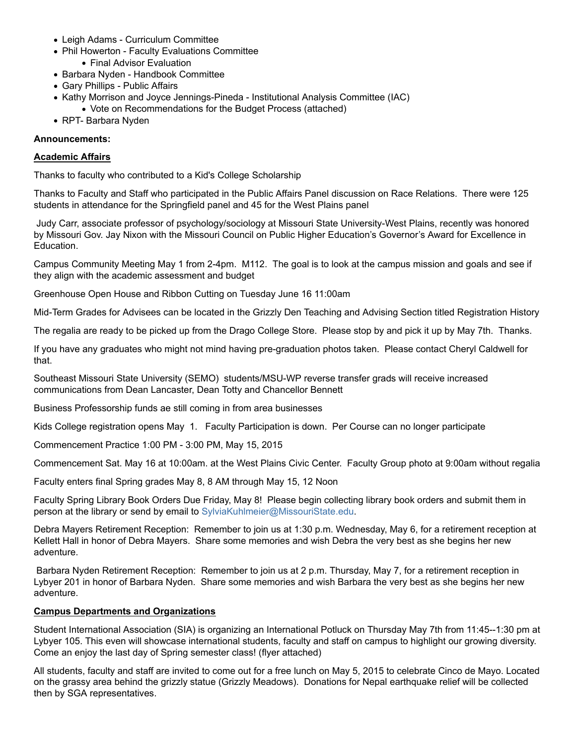- Leigh Adams Curriculum Committee
- Phil Howerton Faculty Evaluations Committee
	- Final Advisor Evaluation
- Barbara Nyden Handbook Committee
- Gary Phillips Public Affairs
- Kathy Morrison and Joyce Jennings-Pineda Institutional Analysis Committee (IAC)
- Vote on Recommendations for the Budget Process (attached)
- RPT- Barbara Nyden

# **Announcements:**

# **Academic Affairs**

Thanks to faculty who contributed to a Kid's College Scholarship

Thanks to Faculty and Staff who participated in the Public Affairs Panel discussion on Race Relations. There were 125 students in attendance for the Springfield panel and 45 for the West Plains panel

 Judy Carr, associate professor of psychology/sociology at Missouri State University-West Plains, recently was honored by Missouri Gov. Jay Nixon with the Missouri Council on Public Higher Education's Governor's Award for Excellence in Education.

Campus Community Meeting May 1 from 2-4pm. M112. The goal is to look at the campus mission and goals and see if they align with the academic assessment and budget

Greenhouse Open House and Ribbon Cutting on Tuesday June 16 11:00am

Mid-Term Grades for Advisees can be located in the Grizzly Den Teaching and Advising Section titled Registration History

The regalia are ready to be picked up from the Drago College Store. Please stop by and pick it up by May 7th. Thanks.

If you have any graduates who might not mind having pre-graduation photos taken. Please contact Cheryl Caldwell for that.

Southeast Missouri State University (SEMO) students/MSU-WP reverse transfer grads will receive increased communications from Dean Lancaster, Dean Totty and Chancellor Bennett

Business Professorship funds ae still coming in from area businesses

Kids College registration opens May 1. Faculty Participation is down. Per Course can no longer participate

Commencement Practice 1:00 PM - 3:00 PM, May 15, 2015

Commencement Sat. May 16 at 10:00am. at the West Plains Civic Center. Faculty Group photo at 9:00am without regalia

Faculty enters final Spring grades May 8, 8 AM through May 15, 12 Noon

Faculty Spring Library Book Orders Due Friday, May 8! Please begin collecting library book orders and submit them in person at the library or send by email to SylviaKuhlmeier@MissouriState.edu.

Debra Mayers Retirement Reception: Remember to join us at 1:30 p.m. Wednesday, May 6, for a retirement reception at Kellett Hall in honor of Debra Mayers. Share some memories and wish Debra the very best as she begins her new adventure.

 Barbara Nyden Retirement Reception: Remember to join us at 2 p.m. Thursday, May 7, for a retirement reception in Lybyer 201 in honor of Barbara Nyden. Share some memories and wish Barbara the very best as she begins her new adventure.

# **Campus Departments and Organizations**

Student International Association (SIA) is organizing an International Potluck on Thursday May 7th from 11:45--1:30 pm at Lybyer 105. This even will showcase international students, faculty and staff on campus to highlight our growing diversity. Come an enjoy the last day of Spring semester class! (flyer attached)

All students, faculty and staff are invited to come out for a free lunch on May 5, 2015 to celebrate Cinco de Mayo. Located on the grassy area behind the grizzly statue (Grizzly Meadows). Donations for Nepal earthquake relief will be collected then by SGA representatives.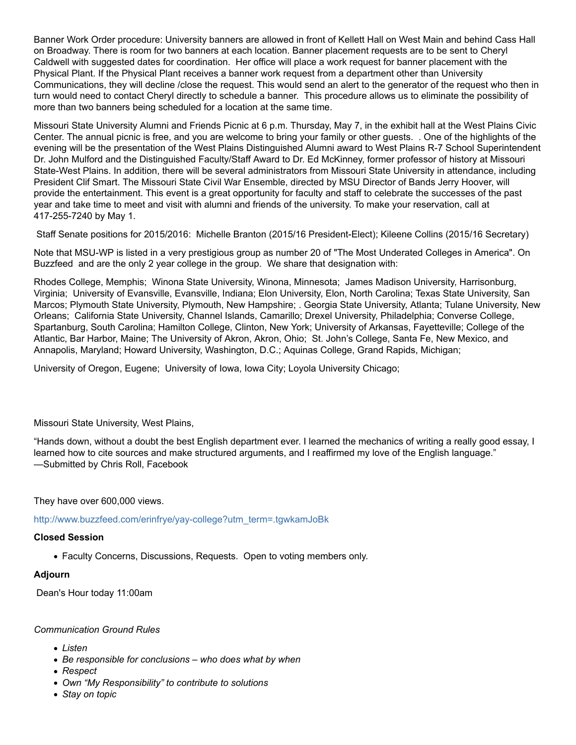Banner Work Order procedure: University banners are allowed in front of Kellett Hall on West Main and behind Cass Hall on Broadway. There is room for two banners at each location. Banner placement requests are to be sent to Cheryl Caldwell with suggested dates for coordination. Her office will place a work request for banner placement with the Physical Plant. If the Physical Plant receives a banner work request from a department other than University Communications, they will decline /close the request. This would send an alert to the generator of the request who then in turn would need to contact Cheryl directly to schedule a banner. This procedure allows us to eliminate the possibility of more than two banners being scheduled for a location at the same time.

Missouri State University Alumni and Friends Picnic at 6 p.m. Thursday, May 7, in the exhibit hall at the West Plains Civic Center. The annual picnic is free, and you are welcome to bring your family or other guests. . One of the highlights of the evening will be the presentation of the West Plains Distinguished Alumni award to West Plains R-7 School Superintendent Dr. John Mulford and the Distinguished Faculty/Staff Award to Dr. Ed McKinney, former professor of history at Missouri State-West Plains. In addition, there will be several administrators from Missouri State University in attendance, including President Clif Smart. The Missouri State Civil War Ensemble, directed by MSU Director of Bands Jerry Hoover, will provide the entertainment. This event is a great opportunity for faculty and staff to celebrate the successes of the past year and take time to meet and visit with alumni and friends of the university. To make your reservation, call at 417-255-7240 by May 1.

Staff Senate positions for 2015/2016: Michelle Branton (2015/16 President-Elect); Kileene Collins (2015/16 Secretary)

Note that MSU-WP is listed in a very prestigious group as number 20 of "The Most Underated Colleges in America". On Buzzfeed and are the only 2 year college in the group. We share that designation with:

Rhodes College, Memphis; Winona State University, Winona, Minnesota; James Madison University, Harrisonburg, Virginia; University of Evansville, Evansville, Indiana; Elon University, Elon, North Carolina; Texas State University, San Marcos; Plymouth State University, Plymouth, New Hampshire; . Georgia State University, Atlanta; Tulane University, New Orleans; California State University, Channel Islands, Camarillo; Drexel University, Philadelphia; Converse College, Spartanburg, South Carolina; Hamilton College, Clinton, New York; University of Arkansas, Fayetteville; College of the Atlantic, Bar Harbor, Maine; The University of Akron, Akron, Ohio; St. John's College, Santa Fe, New Mexico, and Annapolis, Maryland; Howard University, Washington, D.C.; Aquinas College, Grand Rapids, Michigan;

University of Oregon, Eugene; University of Iowa, Iowa City; Loyola University Chicago;

Missouri State University, West Plains,

"Hands down, without a doubt the best English department ever. I learned the mechanics of writing a really good essay, I learned how to cite sources and make structured arguments, and I reaffirmed my love of the English language." —Submitted by Chris Roll, Facebook

They have over 600,000 views.

http://www.buzzfeed.com/erinfrye/yay-college?utm\_term=.tgwkamJoBk

## **Closed Session**

Faculty Concerns, Discussions, Requests. Open to voting members only.

# **Adjourn**

Dean's Hour today 11:00am

## *Communication Ground Rules*

- *Listen*
- *Be responsible for conclusions who does what by when*
- *Respect*
- *Own "My Responsibility" to contribute to solutions*
- *Stay on topic*